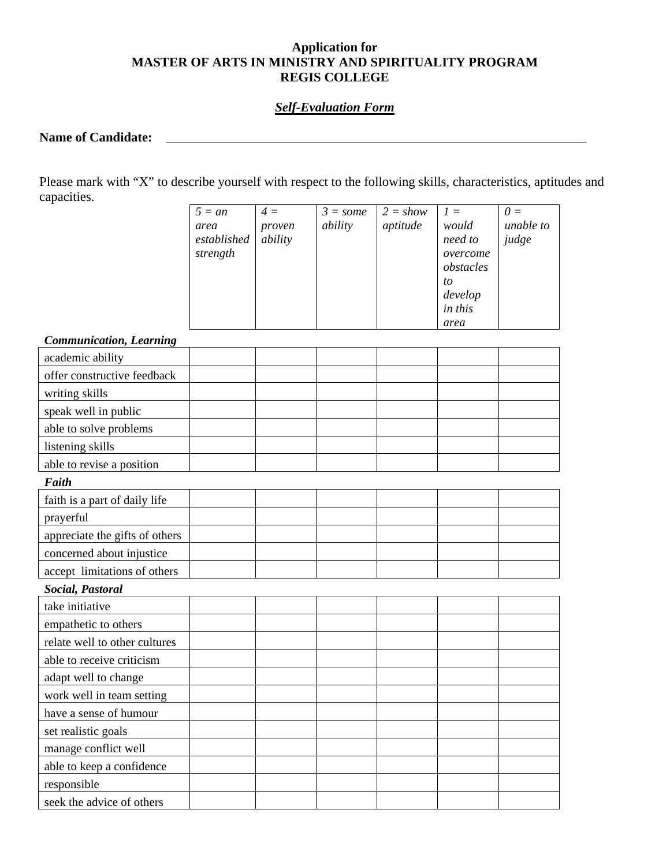# **Application for MASTER OF ARTS IN MINISTRY AND SPIRITUALITY PROGRAM REGIS COLLEGE**

### *Self-Evaluation Form*

### **Name of Candidate:** \_\_\_\_\_\_\_\_\_\_\_\_\_\_\_\_\_\_\_\_\_\_\_\_\_\_\_\_\_\_\_\_\_\_\_\_\_\_\_\_\_\_\_\_\_\_\_\_\_\_\_\_\_\_\_\_\_\_\_\_\_\_\_\_

Please mark with "X" to describe yourself with respect to the following skills, characteristics, aptitudes and capacities.

| $5 = an$    | $4 =$   | $3 = some$ | $2 = show$ | $I =$     | $\theta =$ |
|-------------|---------|------------|------------|-----------|------------|
| area        | proven  | ability    | aptitude   | would     | unable to  |
| established | ability |            |            | need to   | judge      |
| strength    |         |            |            | overcome  |            |
|             |         |            |            | obstacles |            |
|             |         |            |            | to        |            |
|             |         |            |            | develop   |            |
|             |         |            |            | in this   |            |
|             |         |            |            | area      |            |

#### *Communication, Learning*

| $\omega$ ommunuumon, $\omega$ un ning |  |  |  |  |  |  |  |  |  |
|---------------------------------------|--|--|--|--|--|--|--|--|--|
| academic ability                      |  |  |  |  |  |  |  |  |  |
| offer constructive feedback           |  |  |  |  |  |  |  |  |  |
| writing skills                        |  |  |  |  |  |  |  |  |  |
| speak well in public                  |  |  |  |  |  |  |  |  |  |
| able to solve problems                |  |  |  |  |  |  |  |  |  |
| listening skills                      |  |  |  |  |  |  |  |  |  |
| able to revise a position             |  |  |  |  |  |  |  |  |  |
| Faith                                 |  |  |  |  |  |  |  |  |  |
| faith is a part of daily life         |  |  |  |  |  |  |  |  |  |
| prayerful                             |  |  |  |  |  |  |  |  |  |
| appreciate the gifts of others        |  |  |  |  |  |  |  |  |  |
| concerned about injustice             |  |  |  |  |  |  |  |  |  |
| accept limitations of others          |  |  |  |  |  |  |  |  |  |
| Social, Pastoral                      |  |  |  |  |  |  |  |  |  |
| take initiative                       |  |  |  |  |  |  |  |  |  |
| empathetic to others                  |  |  |  |  |  |  |  |  |  |
| relate well to other cultures         |  |  |  |  |  |  |  |  |  |
| able to receive criticism             |  |  |  |  |  |  |  |  |  |
| adapt well to change                  |  |  |  |  |  |  |  |  |  |
| work well in team setting             |  |  |  |  |  |  |  |  |  |
| have a sense of humour                |  |  |  |  |  |  |  |  |  |
| set realistic goals                   |  |  |  |  |  |  |  |  |  |
| manage conflict well                  |  |  |  |  |  |  |  |  |  |
| able to keep a confidence             |  |  |  |  |  |  |  |  |  |
| responsible                           |  |  |  |  |  |  |  |  |  |
| seek the advice of others             |  |  |  |  |  |  |  |  |  |